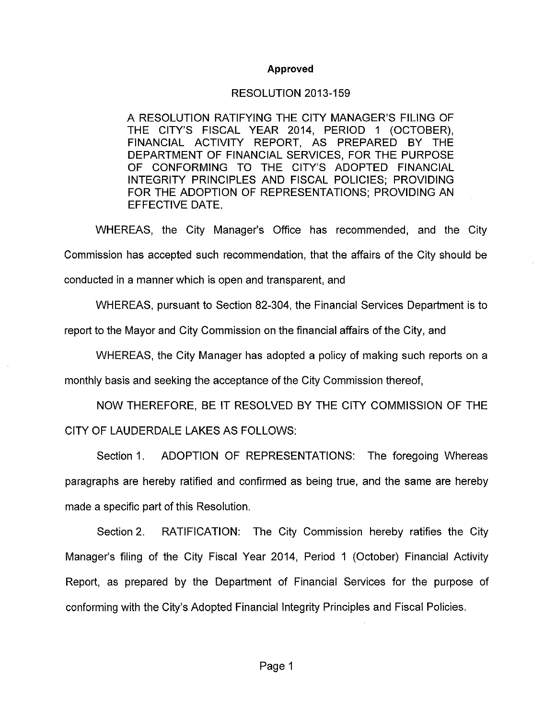## **Approved**

## RESOLUTION 2013-159

A RESOLUTION RATIFYING THE CITY MANAGER'S FILING OF THE CITY'S FISCAL YEAR 2014, PERIOD 1 (OCTOBER), FINANCIAL ACTIVITY REPORT, AS PREPARED BY THE DEPARTMENT OF FINANCIAL SERVICES, FOR THE PURPOSE OF CONFORMING TO THE CITY'S ADOPTED FINANCIAL INTEGRITY PRINCIPLES AND FISCAL POLICIES; PROVIDING FOR THE ADOPTION OF REPRESENTATIONS: PROVIDING AN EFFECTIVE DATE.

WHEREAS, the City Manager's Office has recommended, and the City Commission has accepted such recommendation, that the affairs of the City should be conducted in a manner which is open and transparent, and

WHEREAS, pursuant to Section 82-304, the Financial Services Department is to

report to the Mayor and City Commission on the financial affairs of the City, and

WHEREAS, the City Manager has adopted a policy of making such reports on a

monthly basis and seeking the acceptance of the City Commission thereof.

NOW THEREFORE, BE IT RESOLVED BY THE CITY COMMISSION OF THE CITY OF LAUDERDALE LAKES AS FOLLOWS:

ADOPTION OF REPRESENTATIONS: The foregoing Whereas Section 1. paragraphs are hereby ratified and confirmed as being true, and the same are hereby made a specific part of this Resolution.

Section 2. RATIFICATION: The City Commission hereby ratifies the City Manager's filing of the City Fiscal Year 2014, Period 1 (October) Financial Activity Report, as prepared by the Department of Financial Services for the purpose of conforming with the City's Adopted Financial Integrity Principles and Fiscal Policies.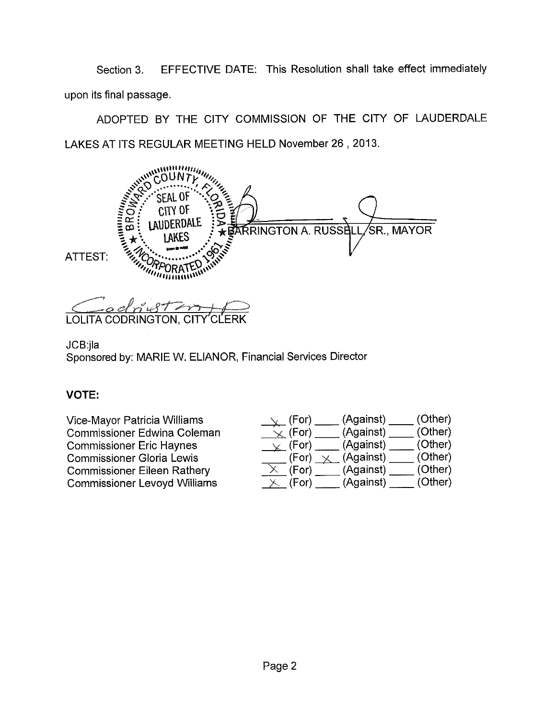EFFECTIVE DATE: This Resolution shall take effect immediately Section 3. upon its final passage.

ADOPTED BY THE CITY COMMISSION OF THE CITY OF LAUDERDALE LAKES AT ITS REGULAR MEETING HELD November 26, 2013.

*<u>AMPROVIDING</u>* Y OF ΩI **CONTRACT AND INTERNATIONAL PROPERTY** erdale RRINGTON A. RUSSELI SR., MAYOR ATTEST:

LOLITA CODRINGTON, CITY'CL

JCB:jla

Sponsored by: MARIE W. ELIANOR, Financial Services Director

## **VOTE:**

| Vice-Mayor Patricia Williams        | (Other)<br>(Against)<br>(For)           |
|-------------------------------------|-----------------------------------------|
| <b>Commissioner Edwina Coleman</b>  | (Other)<br>(Against)<br>$\propto$ (For) |
| <b>Commissioner Eric Haynes</b>     | (Other)<br>(Against)<br>$\vee$ (For)    |
| <b>Commissioner Gloria Lewis</b>    | (Other)<br>(Against)<br>(For)           |
| <b>Commissioner Eileen Rathery</b>  | (Other)<br>(Against)<br>(For)           |
| <b>Commissioner Levoyd Williams</b> | (Other)<br>(Against)<br>(For)           |